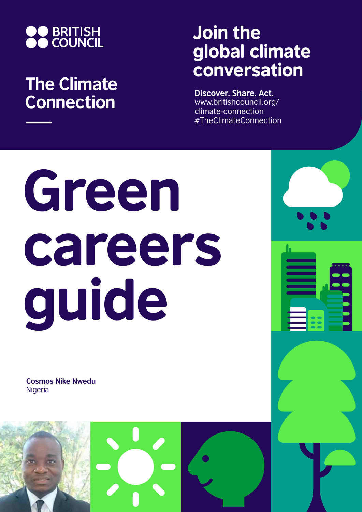

## **The Climate Connection**

## Join the global climate conversation

**Discover. Share. Act.** www.britishcouncil.org/ climate-connection #TheClimateConnection

# Green careers guide

**Cosmos Nike Nwedu Nigeria** 

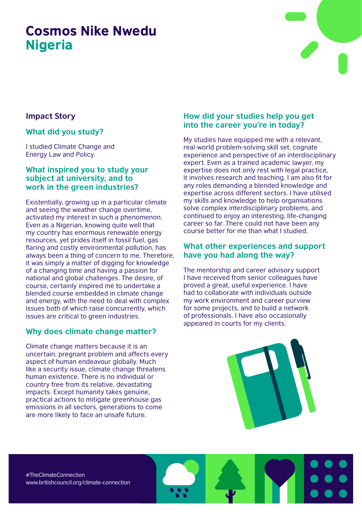### Cosmos Nike Nwedu Nigeria



#### **Impact Story**

#### **What did you study?**

I studied Climate Change and Energy Law and Policy.

#### **What inspired you to study your subject at university, and to work in the green industries?**

Existentially, growing up in a particular climate and seeing the weather change overtime, activated my interest in such a phenomenon. Even as a Nigerian, knowing quite well that my country has enormous renewable energy resources, yet prides itself in fossil fuel, gas flaring and costly environmental pollution, has always been a thing of concern to me. Therefore, it was simply a matter of digging for knowledge of a changing time and having a passion for national and global challenges. The desire, of course, certainly inspired me to undertake a blended course embedded in climate change and energy, with the need to deal with complex issues both of which raise concurrently, which issues are critical to green industries.

#### **Why does climate change matter?**

Climate change matters because it is an uncertain, pregnant problem and affects every aspect of human endeavour globally. Much like a security issue, climate change threatens human existence. There is no individual or country free from its relative, devastating impacts. Except humanity takes genuine, practical actions to mitigate greenhouse gas emissions in all sectors, generations to come are more likely to face an unsafe future.

#### **How did your studies help you get into the career you're in today?**

My studies have equipped me with a relevant, real-world problem-solving skill set, cognate experience and perspective of an interdisciplinary expert. Even as a trained academic lawyer, my expertise does not only rest with legal practice, it involves research and teaching. I am also fit for any roles demanding a blended knowledge and expertise across different sectors. I have utilised my skills and knowledge to help organisations solve complex interdisciplinary problems, and continued to enjoy an interesting, life-changing career so far. There could not have been any course better for me than what I studied.

#### **What other experiences and support have you had along the way?**

The mentorship and career advisory support I have received from senior colleagues have proved a great, useful experience. I have had to collaborate with individuals outside my work environment and career purview for some projects, and to build a network of professionals. I have also occasionally appeared in courts for my clients.



#TheClimateConnection www.britishcouncil.org/climate-connection